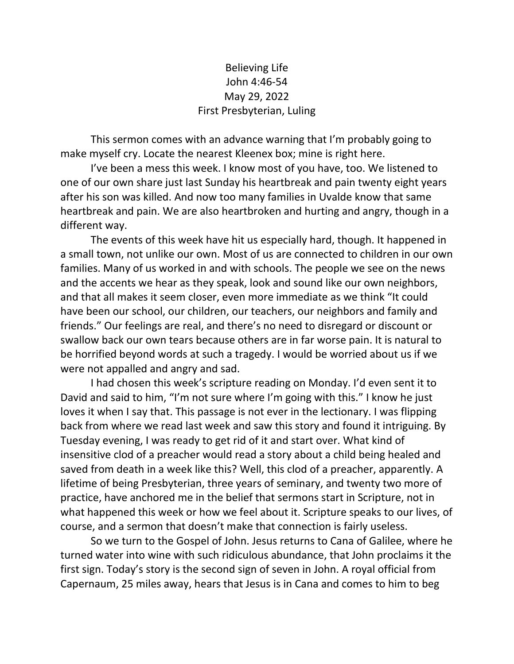## Believing Life John 4:46-54 May 29, 2022 First Presbyterian, Luling

This sermon comes with an advance warning that I'm probably going to make myself cry. Locate the nearest Kleenex box; mine is right here.

I've been a mess this week. I know most of you have, too. We listened to one of our own share just last Sunday his heartbreak and pain twenty eight years after his son was killed. And now too many families in Uvalde know that same heartbreak and pain. We are also heartbroken and hurting and angry, though in a different way.

The events of this week have hit us especially hard, though. It happened in a small town, not unlike our own. Most of us are connected to children in our own families. Many of us worked in and with schools. The people we see on the news and the accents we hear as they speak, look and sound like our own neighbors, and that all makes it seem closer, even more immediate as we think "It could have been our school, our children, our teachers, our neighbors and family and friends." Our feelings are real, and there's no need to disregard or discount or swallow back our own tears because others are in far worse pain. It is natural to be horrified beyond words at such a tragedy. I would be worried about us if we were not appalled and angry and sad.

I had chosen this week's scripture reading on Monday. I'd even sent it to David and said to him, "I'm not sure where I'm going with this." I know he just loves it when I say that. This passage is not ever in the lectionary. I was flipping back from where we read last week and saw this story and found it intriguing. By Tuesday evening, I was ready to get rid of it and start over. What kind of insensitive clod of a preacher would read a story about a child being healed and saved from death in a week like this? Well, this clod of a preacher, apparently. A lifetime of being Presbyterian, three years of seminary, and twenty two more of practice, have anchored me in the belief that sermons start in Scripture, not in what happened this week or how we feel about it. Scripture speaks to our lives, of course, and a sermon that doesn't make that connection is fairly useless.

So we turn to the Gospel of John. Jesus returns to Cana of Galilee, where he turned water into wine with such ridiculous abundance, that John proclaims it the first sign. Today's story is the second sign of seven in John. A royal official from Capernaum, 25 miles away, hears that Jesus is in Cana and comes to him to beg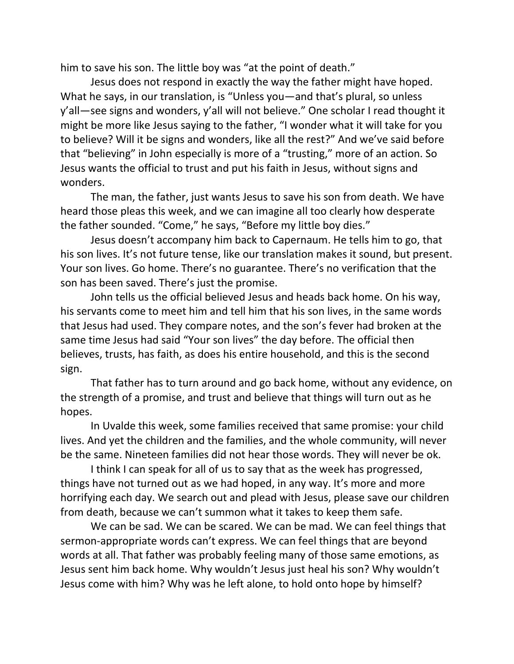him to save his son. The little boy was "at the point of death."

Jesus does not respond in exactly the way the father might have hoped. What he says, in our translation, is "Unless you—and that's plural, so unless y'all—see signs and wonders, y'all will not believe." One scholar I read thought it might be more like Jesus saying to the father, "I wonder what it will take for you to believe? Will it be signs and wonders, like all the rest?" And we've said before that "believing" in John especially is more of a "trusting," more of an action. So Jesus wants the official to trust and put his faith in Jesus, without signs and wonders.

The man, the father, just wants Jesus to save his son from death. We have heard those pleas this week, and we can imagine all too clearly how desperate the father sounded. "Come," he says, "Before my little boy dies."

Jesus doesn't accompany him back to Capernaum. He tells him to go, that his son lives. It's not future tense, like our translation makes it sound, but present. Your son lives. Go home. There's no guarantee. There's no verification that the son has been saved. There's just the promise.

John tells us the official believed Jesus and heads back home. On his way, his servants come to meet him and tell him that his son lives, in the same words that Jesus had used. They compare notes, and the son's fever had broken at the same time Jesus had said "Your son lives" the day before. The official then believes, trusts, has faith, as does his entire household, and this is the second sign.

That father has to turn around and go back home, without any evidence, on the strength of a promise, and trust and believe that things will turn out as he hopes.

In Uvalde this week, some families received that same promise: your child lives. And yet the children and the families, and the whole community, will never be the same. Nineteen families did not hear those words. They will never be ok.

I think I can speak for all of us to say that as the week has progressed, things have not turned out as we had hoped, in any way. It's more and more horrifying each day. We search out and plead with Jesus, please save our children from death, because we can't summon what it takes to keep them safe.

We can be sad. We can be scared. We can be mad. We can feel things that sermon-appropriate words can't express. We can feel things that are beyond words at all. That father was probably feeling many of those same emotions, as Jesus sent him back home. Why wouldn't Jesus just heal his son? Why wouldn't Jesus come with him? Why was he left alone, to hold onto hope by himself?